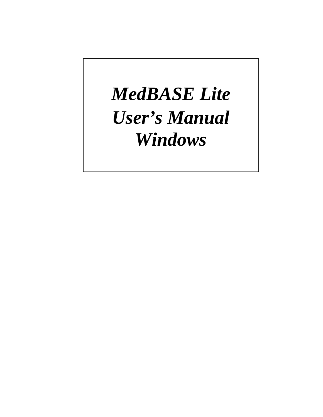# *MedBASE Lite User's Manual Windows*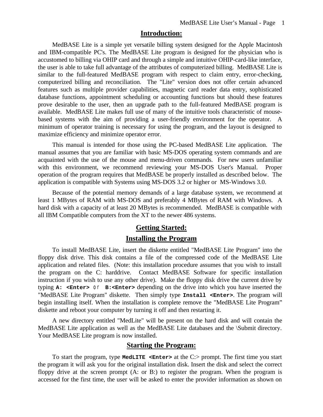## **Introduction:**

MedBASE Lite is a simple yet versatile billing system designed for the Apple Macintosh and IBM-compatible PC's. The MedBASE Lite program is designed for the physician who is accustomed to billing via OHIP card and through a simple and intuitive OHIP-card-like interface, the user is able to take full advantage of the attributes of computerized billing. MedBASE Lite is similar to the full-featured MedBASE program with respect to claim entry, error-checking, computerized billing and reconciliation. The "Lite" version does not offer certain advanced features such as multiple provider capabilities, magnetic card reader data entry, sophisticated database functions, appointment scheduling or accounting functions but should these features prove desirable to the user, then an upgrade path to the full-featured MedBASE program is available. MedBASE Lite makes full use of many of the intuitive tools characteristic of mousebased systems with the aim of providing a user-friendly environment for the operator. A minimum of operator training is necessary for using the program, and the layout is designed to maximize efficiency and minimize operator error.

This manual is intended for those using the PC-based MedBASE Lite application. The manual assumes that you are familiar with basic MS-DOS operating system commands and are acquainted with the use of the mouse and menu-driven commands. For new users unfamiliar with this environment, we recommend reviewing your MS-DOS User's Manual. Proper operation of the program requires that MedBASE be properly installed as described below. The application is compatible with Systems using MS-DOS 3.2 or higher or MS-Windows 3.0.

Because of the potential memory demands of a large database system, we recommend at least 1 MBytes of RAM with MS-DOS and preferably 4 MBytes of RAM with Windows. A hard disk with a capacity of at least 20 MBytes is recommended. MedBASE is compatible with all IBM Compatible computers from the XT to the newer 486 systems.

# **Getting Started:**

## **Installing the Program**

To install MedBASE Lite, insert the diskette entitled "MedBASE Lite Program" into the floppy disk drive. This disk contains a file of the compressed code of the MedBASE Lite application and related files. (Note: this installation procedure assumes that you wish to install the program on the C: harddrive. Contact MedBASE Software for specific installation instruction if you wish to use any other drive). Make the floppy disk drive the current drive by typing **A: <Enter>** or **B:<Enter>** depending on the drive into which you have inserted the "MedBASE Lite Program" diskette. Then simply type **Install <Enter>**. The program will begin installing itself. When the installation is complete remove the "MedBASE Lite Program" diskette and reboot your computer by turning it off and then restarting it.

A new directory entitled "MedLite" will be present on the hard disk and will contain the MedBASE Lite application as well as the MedBASE Lite databases and the \Submit directory. Your MedBASE Lite program is now installed.

## **Starting the Program:**

To start the program, type **MedLITE <Enter>** at the C:> prompt. The first time you start the program it will ask you for the original installation disk. Insert the disk and select the correct floppy drive at the screen prompt (A: or B:) to register the program. When the program is accessed for the first time, the user will be asked to enter the provider information as shown on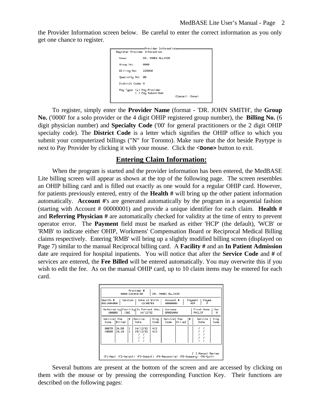the Provider Information screen below. Be careful to enter the correct information as you only get one chance to register.

| Register Provider Information                      |                                 |  |  |  |  |  |
|----------------------------------------------------|---------------------------------|--|--|--|--|--|
| DR. JAMES ALLISON                                  |                                 |  |  |  |  |  |
| 0000                                               |                                 |  |  |  |  |  |
| 224840                                             |                                 |  |  |  |  |  |
| øø                                                 |                                 |  |  |  |  |  |
| District Code: N                                   |                                 |  |  |  |  |  |
| Pay Type: (*) Pay Provider<br>( ) Pay Subscriber ) | <cancel> <done></done></cancel> |  |  |  |  |  |
|                                                    | ====Provider Information==      |  |  |  |  |  |

To register, simply enter the **Provider Name** (format - 'DR. JOHN SMITH', the **Group No.** ('0000' for a solo provider or the 4 digit OHIP registered group number), the **Billing No.** (6 digit physician number) and **Specialty Code** ('00' for general practitioners or the 2 digit OHIP specialty code). The **District Code** is a letter which signifies the OHIP office to which you submit your computerized billings ("N" for Toronto). Make sure that the dot beside Paytype is next to Pay Provider by clicking it with your mouse. Click the **<Done>** button to exit.

## **Entering Claim Information:**

When the program is started and the provider information has been entered, the MedBASE Lite billing screen will appear as shown at the top of the following page. The screen resembles an OHIP billing card and is filled out exactly as one would for a regular OHIP card. However, for patients previously entered, entry of the **Health #** will bring up the other patient information automatically. **Account #**'s are generated automatically by the program in a sequential fashion (starting with Account # 00000001) and provide a unique identifier for each claim. **Health #** and **Referring Physician #** are automatically checked for validity at the time of entry to prevent operator error. The **Payment** field must be marked as either 'HCP' (the default), 'WCB' or 'RMB' to indicate either OHIP, Workmens' Compensation Board or Reciprocal Medical Billing claims respectively. Entering 'RMB' will bring up a slightly modified billing screen (displayed on Page 7) similar to the manual Reciprocal billing card. A **Facility #** and an **In Patient Admission** date are required for hospital inpatients. You will notice that after the **Service Code** and **#** of services are entered, the **Fee Billed** will be entered automatically. You may overwrite this if you wish to edit the fee. As on the manual OHIP card, up to 10 claim items may be entered for each card.

| Provider #<br>0000-224840-00<br>DR. JAMES ALLISON                                                                                                                       |                                                                                                  |  |  |  |  |  |
|-------------------------------------------------------------------------------------------------------------------------------------------------------------------------|--------------------------------------------------------------------------------------------------|--|--|--|--|--|
| Health #<br>Version<br>Date of Birth<br>Payment<br>Recount #<br>Payee<br>12/05/53<br>5911004050<br>00000001<br>HCP                                                      |                                                                                                  |  |  |  |  |  |
| Referred by Facility In Patient Adm.<br>First Name<br>Sex<br>Surname<br>14/12/92<br>1302<br>100008<br><b>BRADSHAW</b><br>PHILIP<br>м                                    |                                                                                                  |  |  |  |  |  |
| Servicel Fee<br>#<br>Service<br><b>Billed</b><br>Code<br>Date<br>14/12/92<br>$\mathbf{1}$<br>413<br>A007A<br>24.50<br>15/12/92<br>413<br>16,10<br>$\mathbf{1}$<br>C008A | Diag<br>Diag<br>Service<br>Fee<br>l#<br>Service<br>Code<br><b>Billed</b><br>Code<br>Code<br>Date |  |  |  |  |  |
| ] Manual Review<br><f1-new> <f2-select> <f3-submit> <f4-reconcile> <f5-summary> <f6-quit></f6-quit></f5-summary></f4-reconcile></f3-submit></f2-select></f1-new>        |                                                                                                  |  |  |  |  |  |

Several buttons are present at the bottom of the screen and are accessed by clicking on them with the mouse or by pressing the corresponding Function Key. Their functions are described on the following pages: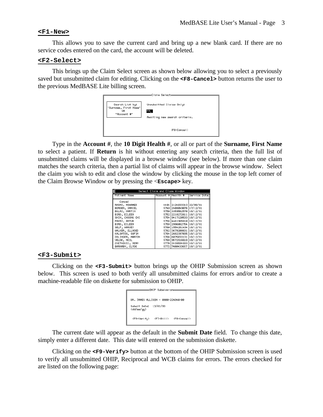#### **<F1-New>**

This allows you to save the current card and bring up a new blank card. If there are no service codes entered on the card, the account will be deleted.

#### **<F2-Select>**

This brings up the Claim Select screen as shown below allowing you to select a previously saved but unsubmitted claim for editing. Clicking on the **<F8-Cancel>** button returns the user to the previous MedBASE Lite billing screen.



Type in the **Account #**, the **10 Digit Health #**, or all or part of the **Surname, First Name** to select a patient. If **Return** is hit without entering any search criteria, then the full list of unsubmitted claims will be displayed in a browse window (see below). If more than one claim matches the search criteria, then a partial list of claims will appear in the browse window. Select the claim you wish to edit and close the window by clicking the mouse in the top left corner of the Claim Browse Window or by pressing the <**Escape>** key.

| Account #lHealth #                                                                                                                                                                                                                                                                                                                                                           |                          |  |
|------------------------------------------------------------------------------------------------------------------------------------------------------------------------------------------------------------------------------------------------------------------------------------------------------------------------------------------------------------------------------|--------------------------|--|
|                                                                                                                                                                                                                                                                                                                                                                              | Service Date             |  |
| 4494 2124033313 22/08/91<br>5748 2408049076 17/12/91<br>5750 3359562570 18/12/91<br>5752 2218272611 18/12/91<br>5754 9417120533 18/12/91<br>5756 4461965610 18/12/91<br>5758 2996062754 18/12/91<br>5760   1554281434   18/12/91<br>5762 3679208631 18/12/91<br>5764 2682397035 18/12/91<br>5766 6075033131 18/12/91<br>5768 9572916618 18/12/91<br>5770 3439584933 18/12/91 |                          |  |
|                                                                                                                                                                                                                                                                                                                                                                              | 5772 7400433657 18/12/91 |  |

#### **<F3-Submit>**

Clicking on the **<F3-Submit>** button brings up the OHIP Submission screen as shown below. This screen is used to both verify all unsubmitted claims for errors and/or to create a machine-readable file on diskette for submission to OHIP.

| ———OHIP Submission———               |                     |                         |  |  |  |  |
|-------------------------------------|---------------------|-------------------------|--|--|--|--|
| DR. JAMES ALLISON — 0000-224840-00  |                     |                         |  |  |  |  |
| Submit Date: 13/01/93<br>(dd/mm/yy) |                     |                         |  |  |  |  |
| <f9-verify></f9-verify>             | <f7−bill></f7−bill> | <f8-cancel></f8-cancel> |  |  |  |  |

The current date will appear as the default in the **Submit Date** field. To change this date, simply enter a different date. This date will entered on the submission diskette.

Clicking on the **<F9-Verify>** button at the bottom of the OHIP Submission screen is used to verify all unsubmitted OHIP, Reciprocal and WCB claims for errors. The errors checked for are listed on the following page: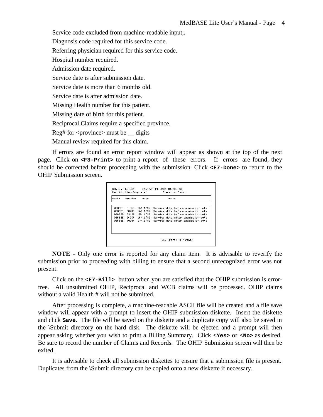Service code excluded from machine-readable input;.

Diagnosis code required for this service code.

Referring physician required for this service code.

Hospital number required.

Admission date required.

Service date is after submission date.

Service date is more than 6 months old.

Service date is after admission date.

Missing Health number for this patient.

Missing date of birth for this patient.

Reciprocal Claims require a specified province.

Reg# for  $\langle$ province $\rangle$  must be  $\angle$  digits

Manual review required for this claim.

If errors are found an error report window will appear as shown at the top of the next page. Click on **<F3-Print>** to print a report of these errors. If errors are found, they should be corrected before proceeding with the submission. Click **<F7-Done>** to return to the OHIP Submission screen.

| Boot # | Service | Date           | Error                                             |
|--------|---------|----------------|---------------------------------------------------|
| 006999 | A135A   | 14/11/92       | Service date before admission date                |
| 888388 | A001A   | 14/11/92       | Service date before admission date                |
| 886999 |         | G313A 15/11/92 | Service date before admission date                |
| 888388 |         | 74378 16/11/92 | Service date after submission date                |
| 888388 |         |                | J8818 17/11/92 Service date after submission date |
|        |         |                |                                                   |
|        |         |                |                                                   |

**NOTE** - Only one error is reported for any claim item. It is advisable to reverify the submission prior to proceeding with billing to ensure that a second unrecognized error was not present.

Click on the **<F7-Bill>** button when you are satisfied that the OHIP submission is errorfree. All unsubmitted OHIP, Reciprocal and WCB claims will be processed. OHIP claims without a valid Health # will not be submitted.

After processing is complete, a machine-readable ASCII file will be created and a file save window will appear with a prompt to insert the OHIP submission diskette. Insert the diskette and click **Save**. The file will be saved on the diskette and a duplicate copy will also be saved in the \Submit directory on the hard disk. The diskette will be ejected and a prompt will then appear asking whether you wish to print a Billing Summary. Click **<Yes>** or **<No>** as desired. Be sure to record the number of Claims and Records. The OHIP Submission screen will then be exited.

It is advisable to check all submission diskettes to ensure that a submission file is present. Duplicates from the \Submit directory can be copied onto a new diskette if necessary.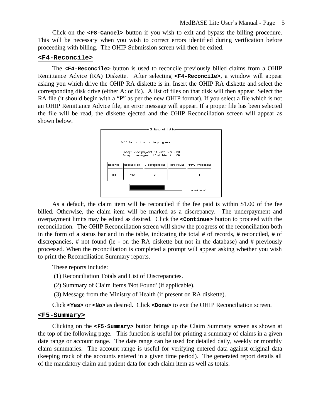Click on the **<F8-Cancel>** button if you wish to exit and bypass the billing procedure. This will be necessary when you wish to correct errors identified during verification before proceeding with billing. The OHIP Submission screen will then be exited.

### **<F4-Reconcile>**

The **<F4-Reconcile>** button is used to reconcile previously billed claims from a OHIP Remittance Advice (RA) Diskette. After selecting **<F4-Reconcile>**, a window will appear asking you which drive the OHIP RA diskette is in. Insert the OHIP RA diskette and select the corresponding disk drive (either A: or B:). A list of files on that disk will then appear. Select the RA file (it should begin with a "P" as per the new OHIP format). If you select a file which is not an OHIP Remittance Advice file, an error message will appear. If a proper file has been selected the file will be read, the diskette ejected and the OHIP Reconciliation screen will appear as shown below.



As a default, the claim item will be reconciled if the fee paid is within \$1.00 of the fee billed. Otherwise, the claim item will be marked as a discrepancy. The underpayment and overpayment limits may be edited as desired. Click the **<Continue>** button to proceed with the reconciliation. The OHIP Reconciliation screen will show the progress of the reconciliation both in the form of a status bar and in the table, indicating the total # of records, # reconciled, # of discrepancies, # not found (ie - on the RA diskette but not in the database) and # previously processed. When the reconciliation is completed a prompt will appear asking whether you wish to print the Reconciliation Summary reports.

These reports include:

- (1) Reconciliation Totals and List of Discrepancies.
- (2) Summary of Claim Items 'Not Found' (if applicable).
- (3) Message from the Ministry of Health (if present on RA diskette).

Click **<Yes>** or **<No>** as desired. Click **<Done>** to exit the OHIP Reconciliation screen.

#### **<F5-Summary>**

Clicking on the **<F5-Summary>** button brings up the Claim Summary screen as shown at the top of the following page. This function is useful for printing a summary of claims in a given date range or account range. The date range can be used for detailed daily, weekly or monthly claim summaries. The account range is useful for verifying entered data against original data (keeping track of the accounts entered in a given time period). The generated report details all of the mandatory claim and patient data for each claim item as well as totals.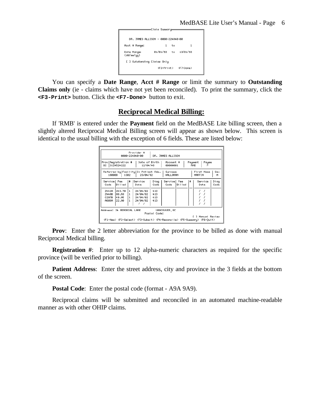

You can specify a **Date Range**, **Acct # Range** or limit the summary to **Outstanding Claims only** (ie - claims which have not yet been reconciled). To print the summary, click the **<F3-Print>** button. Click the **<F7-Done>** button to exit.

## **Reciprocal Medical Billing:**

If 'RMB' is entered under the **Payment** field on the MedBASE Lite billing screen, then a slightly altered Reciprocal Medical Billing screen will appear as shown below. This screen is identical to the usual billing with the exception of 6 fields. These are listed below:

| Provider #<br>DR. JAMES ALLISON<br>0000-224840-00                                                                                                                     |                                   |                                                   |                                              |                                  |                      |               |   |                 |              |
|-----------------------------------------------------------------------------------------------------------------------------------------------------------------------|-----------------------------------|---------------------------------------------------|----------------------------------------------|----------------------------------|----------------------|---------------|---|-----------------|--------------|
| Date of Birth<br>Recount #<br>Prov Registration #<br>Payment<br>Payee<br>3124524222<br>12/04/46<br>BC.<br>00000001<br>RMB                                             |                                   |                                                   |                                              |                                  |                      |               |   |                 |              |
| Referred by Facility In Patient Adm.<br>First Name<br>Sex<br>Surname<br>23/04/92<br>100008<br>1302<br>HALLORAN<br>MARTIN<br>м                                         |                                   |                                                   |                                              |                                  |                      |               |   |                 |              |
| Service  Fee<br>Code                                                                                                                                                  | <b>Billed</b>                     | #                                                 | Service<br>Date                              | Diag<br>Code                     | Service  Fee<br>Code | <b>Billed</b> | # | Service<br>Date | Diag<br>Code |
| Z442A<br>Z440B<br>G297B<br><b>AS938</b>                                                                                                                               | 243.70<br>88.58<br>49.95<br>22.90 | $\mathbf{1}$<br>$\mathbf{1}$<br>$\mathbf{1}$<br>1 | 24/04/92<br>24/04/92<br>24/04/92<br>24/04/92 | $+13$<br>$+13$<br>$+13$<br>$+13$ |                      |               |   |                 |              |
| Address: 24 MEMORIAL LANE<br>VANCOUVER, BC<br>Postal Code:                                                                                                            |                                   |                                                   |                                              |                                  |                      |               |   |                 |              |
| Manual Review<br>r 1<br><f1-new> <f2-select> <f3-submit> <f4-reconcile> <f5-summary> <f6-quit></f6-quit></f5-summary></f4-reconcile></f3-submit></f2-select></f1-new> |                                   |                                                   |                                              |                                  |                      |               |   |                 |              |

**Prov**: Enter the 2 letter abbreviation for the province to be billed as done with manual Reciprocal Medical billing.

**Registration** #: Enter up to 12 alpha-numeric characters as required for the specific province (will be verified prior to billing).

**Patient Address**: Enter the street address, city and province in the 3 fields at the bottom of the screen.

**Postal Code**: Enter the postal code (format - A9A 9A9).

Reciprocal claims will be submitted and reconciled in an automated machine-readable manner as with other OHIP claims.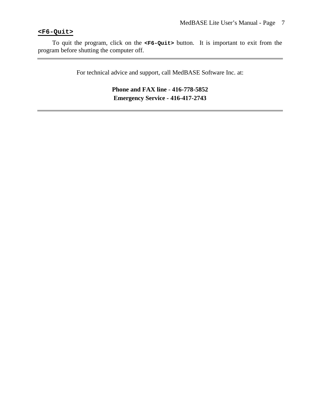## **<F6-Quit>**

To quit the program, click on the **<F6-Quit>** button. It is important to exit from the program before shutting the computer off.

For technical advice and support, call MedBASE Software Inc. at:

**Phone and FAX line** - **416-778-5852 Emergency Service - 416-417-2743**